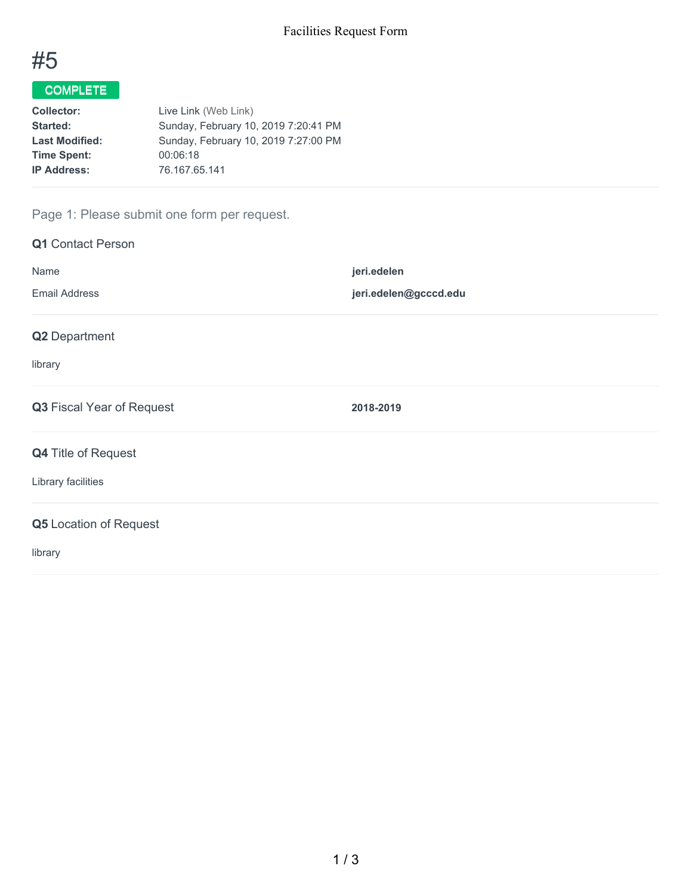

# COMPLETE

| Live Link (Web Link)                 |
|--------------------------------------|
| Sunday, February 10, 2019 7:20:41 PM |
| Sunday, February 10, 2019 7:27:00 PM |
| 00:06:18                             |
| 76.167.65.141                        |
|                                      |

## Page 1: Please submit one form per request.

| <b>Q1</b> Contact Person      |                       |
|-------------------------------|-----------------------|
| Name                          | jeri.edelen           |
| <b>Email Address</b>          | jeri.edelen@gcccd.edu |
| Q2 Department                 |                       |
| library                       |                       |
| Q3 Fiscal Year of Request     | 2018-2019             |
| Q4 Title of Request           |                       |
| Library facilities            |                       |
| <b>Q5</b> Location of Request |                       |
| library                       |                       |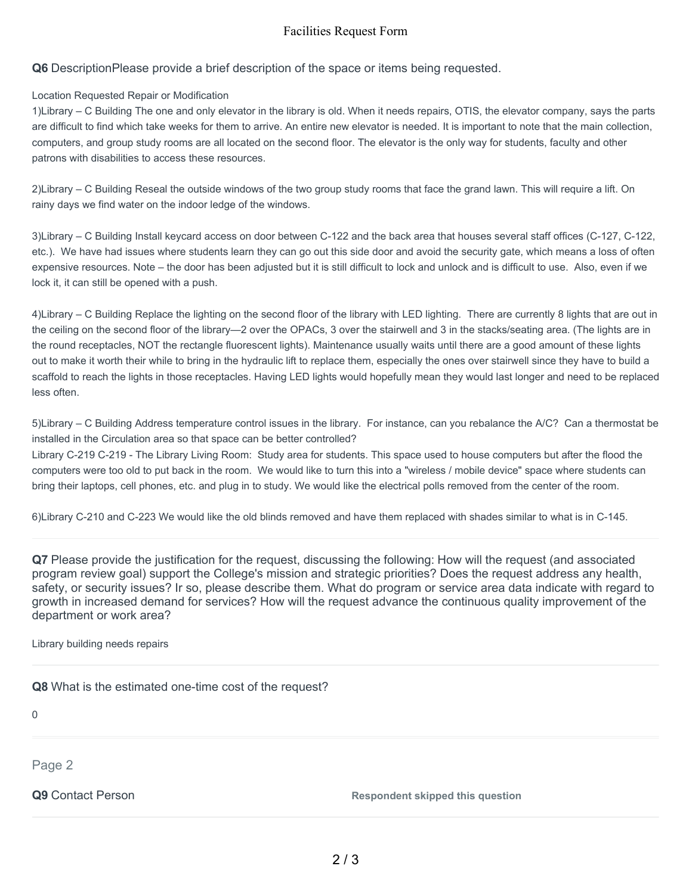#### Facilities Request Form

**Q6** DescriptionPlease provide a brief description of the space or items being requested.

#### Location Requested Repair or Modification

1)Library – C Building The one and only elevator in the library is old. When it needs repairs, OTIS, the elevator company, says the parts are difficult to find which take weeks for them to arrive. An entire new elevator is needed. It is important to note that the main collection, computers, and group study rooms are all located on the second floor. The elevator is the only way for students, faculty and other patrons with disabilities to access these resources.

2)Library – C Building Reseal the outside windows of the two group study rooms that face the grand lawn. This will require a lift. On rainy days we find water on the indoor ledge of the windows.

3)Library – C Building Install keycard access on door between C-122 and the back area that houses several staff offices (C-127, C-122, etc.). We have had issues where students learn they can go out this side door and avoid the security gate, which means a loss of often expensive resources. Note – the door has been adjusted but it is still difficult to lock and unlock and is difficult to use. Also, even if we lock it, it can still be opened with a push.

4)Library – C Building Replace the lighting on the second floor of the library with LED lighting. There are currently 8 lights that are out in the ceiling on the second floor of the library—2 over the OPACs, 3 over the stairwell and 3 in the stacks/seating area. (The lights are in the round receptacles, NOT the rectangle fluorescent lights). Maintenance usually waits until there are a good amount of these lights out to make it worth their while to bring in the hydraulic lift to replace them, especially the ones over stairwell since they have to build a scaffold to reach the lights in those receptacles. Having LED lights would hopefully mean they would last longer and need to be replaced less often.

5)Library – C Building Address temperature control issues in the library. For instance, can you rebalance the A/C? Can a thermostat be installed in the Circulation area so that space can be better controlled?

Library C-219 C-219 - The Library Living Room: Study area for students. This space used to house computers but after the flood the computers were too old to put back in the room. We would like to turn this into a "wireless / mobile device" space where students can bring their laptops, cell phones, etc. and plug in to study. We would like the electrical polls removed from the center of the room.

6)Library C-210 and C-223 We would like the old blinds removed and have them replaced with shades similar to what is in C-145.

**Q7** Please provide the justification for the request, discussing the following: How will the request (and associated program review goal) support the College's mission and strategic priorities? Does the request address any health, safety, or security issues? Ir so, please describe them. What do program or service area data indicate with regard to growth in increased demand for services? How will the request advance the continuous quality improvement of the department or work area?

Library building needs repairs

**Q8** What is the estimated one-time cost of the request?

0

Page 2

**Q9** Contact Person **Respondent** skipped this question